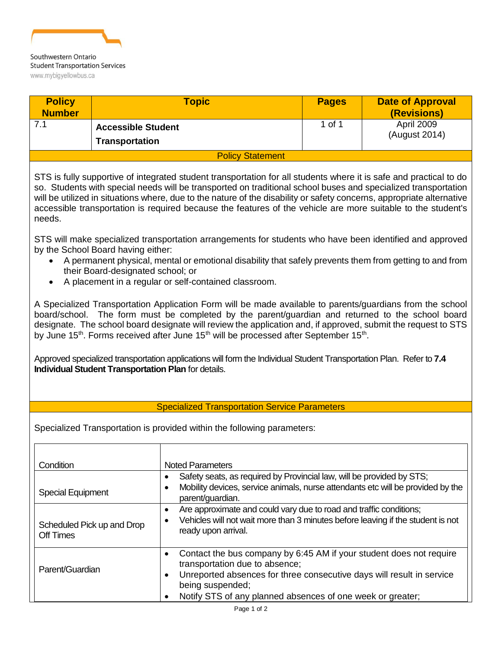

| <b>Policy</b><br><b>Number</b> | <b>Topic</b>                                       | <b>Pages</b> | <b>Date of Approval</b><br>(Revisions) |
|--------------------------------|----------------------------------------------------|--------------|----------------------------------------|
|                                | <b>Accessible Student</b><br><b>Transportation</b> | 1 of 1       | April 2009<br>(August 2014)            |
|                                | <b>Policy Statement</b>                            |              |                                        |
|                                |                                                    |              |                                        |

STS is fully supportive of integrated student transportation for all students where it is safe and practical to do so. Students with special needs will be transported on traditional school buses and specialized transportation will be utilized in situations where, due to the nature of the disability or safety concerns, appropriate alternative accessible transportation is required because the features of the vehicle are more suitable to the student's needs.

STS will make specialized transportation arrangements for students who have been identified and approved by the School Board having either:

- A permanent physical, mental or emotional disability that safely prevents them from getting to and from their Board-designated school; or
- A placement in a regular or self-contained classroom.

A Specialized Transportation Application Form will be made available to parents/guardians from the school board/school. The form must be completed by the parent/guardian and returned to the school board designate. The school board designate will review the application and, if approved, submit the request to STS by June 15<sup>th</sup>. Forms received after June 15<sup>th</sup> will be processed after September 15<sup>th</sup>.

Approved specialized transportation applications will form the Individual Student Transportation Plan. Refer to **7.4 Individual Student Transportation Plan** for details.

## Specialized Transportation Service Parameters

Specialized Transportation is provided within the following parameters:

| Condition<br><b>Special Equipment</b>   | <b>Noted Parameters</b><br>Safety seats, as required by Provincial law, will be provided by STS;<br>Mobility devices, service animals, nurse attendants etc will be provided by the<br>parent/guardian.                                                          |
|-----------------------------------------|------------------------------------------------------------------------------------------------------------------------------------------------------------------------------------------------------------------------------------------------------------------|
| Scheduled Pick up and Drop<br>Off Times | Are approximate and could vary due to road and traffic conditions;<br>Vehicles will not wait more than 3 minutes before leaving if the student is not<br>ready upon arrival.                                                                                     |
| Parent/Guardian                         | Contact the bus company by 6:45 AM if your student does not require<br>transportation due to absence;<br>Unreported absences for three consecutive days will result in service<br>being suspended;<br>Notify STS of any planned absences of one week or greater; |